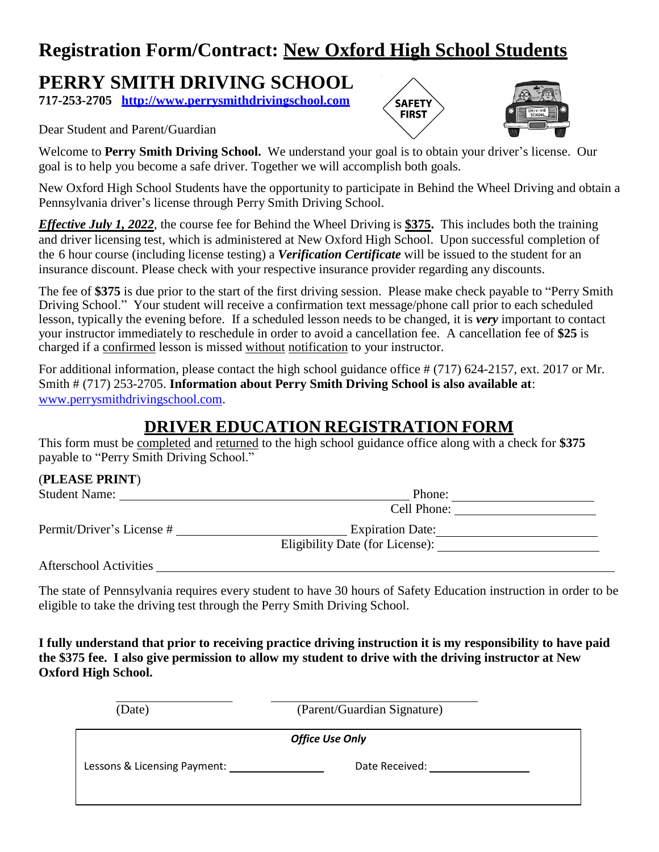### **Registration Form/Contract: New Oxford High School Students**

### **PERRY SMITH DRIVING SCHOOL**

**717-253-2705 [http://www.perrysmithdrivingschool.com](http://www.perrysmithdrivingschool.com/)**

#### Dear Student and Parent/Guardian



Welcome to **Perry Smith Driving School.** We understand your goal is to obtain your driver's license. Our goal is to help you become a safe driver. Together we will accomplish both goals.

New Oxford High School Students have the opportunity to participate in Behind the Wheel Driving and obtain a Pennsylvania driver's license through Perry Smith Driving School.

*Effective July 1, 2022*, the course fee for Behind the Wheel Driving is **\$375.** This includes both the training and driver licensing test, which is administered at New Oxford High School. Upon successful completion of the 6 hour course (including license testing) a *Verification Certificate* will be issued to the student for an insurance discount. Please check with your respective insurance provider regarding any discounts.

The fee of **\$375** is due prior to the start of the first driving session. Please make check payable to "Perry Smith Driving School." Your student will receive a confirmation text message/phone call prior to each scheduled lesson, typically the evening before. If a scheduled lesson needs to be changed, it is *very* important to contact your instructor immediately to reschedule in order to avoid a cancellation fee. A cancellation fee of **\$25** is charged if a confirmed lesson is missed without notification to your instructor.

For additional information, please contact the high school guidance office # (717) 624-2157, ext. 2017 or Mr. Smith # (717) 253-2705. **Information about Perry Smith Driving School is also available at**: [www.perrysmithdrivingschool.com.](http://www.perrysmithdrivingschool.com/) 

### **DRIVER EDUCATION REGISTRATION FORM**

This form must be completed and returned to the high school guidance office along with a check for **\$375** payable to "Perry Smith Driving School."

#### (**PLEASE PRINT**)

| <b>Student Name:</b>      | Phone:                          |  |
|---------------------------|---------------------------------|--|
|                           | Cell Phone:                     |  |
| Permit/Driver's License # | <b>Expiration Date:</b>         |  |
|                           | Eligibility Date (for License): |  |
|                           |                                 |  |

Afterschool Activities

The state of Pennsylvania requires every student to have 30 hours of Safety Education instruction in order to be eligible to take the driving test through the Perry Smith Driving School.

**I fully understand that prior to receiving practice driving instruction it is my responsibility to have paid the \$375 fee. I also give permission to allow my student to drive with the driving instructor at New Oxford High School.**

| (Date)                       | (Parent/Guardian Signature) |  |
|------------------------------|-----------------------------|--|
|                              | <b>Office Use Only</b>      |  |
| Lessons & Licensing Payment: | Date Received:              |  |
|                              |                             |  |